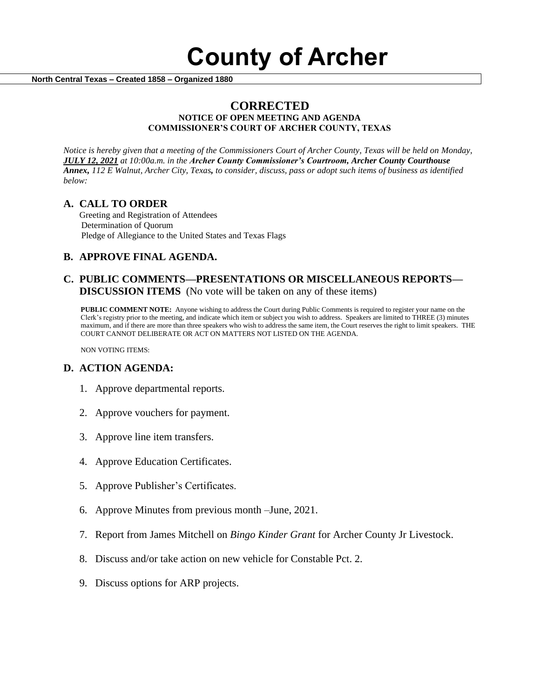

 **North Central Texas – Created 1858 – Organized 1880**

# **CORRECTED**

#### **NOTICE OF OPEN MEETING AND AGENDA COMMISSIONER'S COURT OF ARCHER COUNTY, TEXAS**

*Notice is hereby given that a meeting of the Commissioners Court of Archer County, Texas will be held on Monday, JULY 12, 2021 at 10:00a.m. in the Archer County Commissioner's Courtroom, Archer County Courthouse Annex, 112 E Walnut, Archer City, Texas, to consider, discuss, pass or adopt such items of business as identified below:*

### **A. CALL TO ORDER**

 Greeting and Registration of Attendees Determination of Quorum Pledge of Allegiance to the United States and Texas Flags

# **B. APPROVE FINAL AGENDA.**

## **C. PUBLIC COMMENTS—PRESENTATIONS OR MISCELLANEOUS REPORTS— DISCUSSION ITEMS** (No vote will be taken on any of these items)

**PUBLIC COMMENT NOTE:** Anyone wishing to address the Court during Public Comments is required to register your name on the Clerk's registry prior to the meeting, and indicate which item or subject you wish to address. Speakers are limited to THREE (3) minutes maximum, and if there are more than three speakers who wish to address the same item, the Court reserves the right to limit speakers. THE COURT CANNOT DELIBERATE OR ACT ON MATTERS NOT LISTED ON THE AGENDA.

NON VOTING ITEMS:

### **D. ACTION AGENDA:**

- 1. Approve departmental reports.
- 2. Approve vouchers for payment.
- 3. Approve line item transfers.
- 4. Approve Education Certificates.
- 5. Approve Publisher's Certificates.
- 6. Approve Minutes from previous month –June, 2021.
- 7. Report from James Mitchell on *Bingo Kinder Grant* for Archer County Jr Livestock.
- 8. Discuss and/or take action on new vehicle for Constable Pct. 2.
- 9. Discuss options for ARP projects.